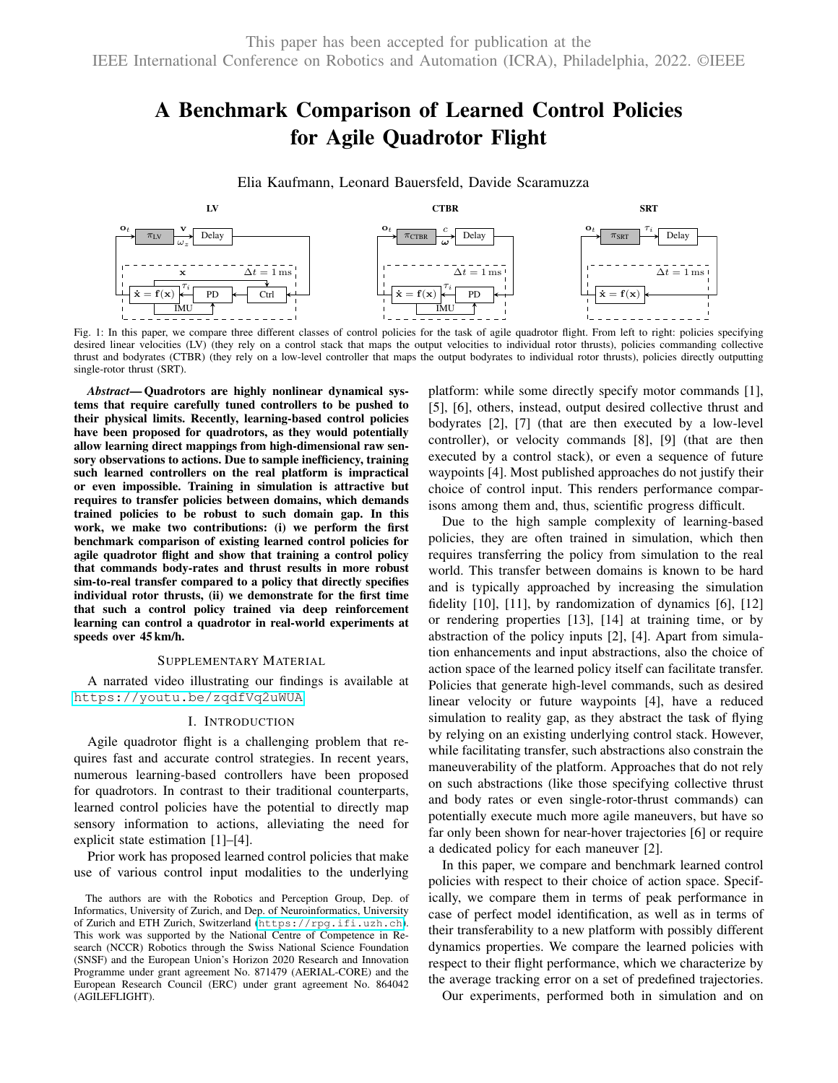# A Benchmark Comparison of Learned Control Policies for Agile Quadrotor Flight

Elia Kaufmann, Leonard Bauersfeld, Davide Scaramuzza

<span id="page-0-0"></span>

Fig. 1: In this paper, we compare three different classes of control policies for the task of agile quadrotor flight. From left to right: policies specifying desired linear velocities (LV) (they rely on a control stack that maps the output velocities to individual rotor thrusts), policies commanding collective thrust and bodyrates (CTBR) (they rely on a low-level controller that maps the output bodyrates to individual rotor thrusts), policies directly outputting single-rotor thrust (SRT).

*Abstract*— Quadrotors are highly nonlinear dynamical systems that require carefully tuned controllers to be pushed to their physical limits. Recently, learning-based control policies have been proposed for quadrotors, as they would potentially allow learning direct mappings from high-dimensional raw sensory observations to actions. Due to sample inefficiency, training such learned controllers on the real platform is impractical or even impossible. Training in simulation is attractive but requires to transfer policies between domains, which demands trained policies to be robust to such domain gap. In this work, we make two contributions: (i) we perform the first benchmark comparison of existing learned control policies for agile quadrotor flight and show that training a control policy that commands body-rates and thrust results in more robust sim-to-real transfer compared to a policy that directly specifies individual rotor thrusts, (ii) we demonstrate for the first time that such a control policy trained via deep reinforcement learning can control a quadrotor in real-world experiments at speeds over 45 km/h.

#### SUPPLEMENTARY MATERIAL

A narrated video illustrating our findings is available at <https://youtu.be/zqdfVq2uWUA>

# I. INTRODUCTION

Agile quadrotor flight is a challenging problem that requires fast and accurate control strategies. In recent years, numerous learning-based controllers have been proposed for quadrotors. In contrast to their traditional counterparts, learned control policies have the potential to directly map sensory information to actions, alleviating the need for explicit state estimation [1]–[4].

Prior work has proposed learned control policies that make use of various control input modalities to the underlying platform: while some directly specify motor commands [1], [5], [6], others, instead, output desired collective thrust and bodyrates [2], [7] (that are then executed by a low-level controller), or velocity commands [8], [9] (that are then executed by a control stack), or even a sequence of future waypoints [4]. Most published approaches do not justify their choice of control input. This renders performance comparisons among them and, thus, scientific progress difficult.

Due to the high sample complexity of learning-based policies, they are often trained in simulation, which then requires transferring the policy from simulation to the real world. This transfer between domains is known to be hard and is typically approached by increasing the simulation fidelity [10], [11], by randomization of dynamics [6], [12] or rendering properties [13], [14] at training time, or by abstraction of the policy inputs [2], [4]. Apart from simulation enhancements and input abstractions, also the choice of action space of the learned policy itself can facilitate transfer. Policies that generate high-level commands, such as desired linear velocity or future waypoints [4], have a reduced simulation to reality gap, as they abstract the task of flying by relying on an existing underlying control stack. However, while facilitating transfer, such abstractions also constrain the maneuverability of the platform. Approaches that do not rely on such abstractions (like those specifying collective thrust and body rates or even single-rotor-thrust commands) can potentially execute much more agile maneuvers, but have so far only been shown for near-hover trajectories [6] or require a dedicated policy for each maneuver [2].

In this paper, we compare and benchmark learned control policies with respect to their choice of action space. Specifically, we compare them in terms of peak performance in case of perfect model identification, as well as in terms of their transferability to a new platform with possibly different dynamics properties. We compare the learned policies with respect to their flight performance, which we characterize by the average tracking error on a set of predefined trajectories.

Our experiments, performed both in simulation and on

The authors are with the Robotics and Perception Group, Dep. of Informatics, University of Zurich, and Dep. of Neuroinformatics, University of Zurich and ETH Zurich, Switzerland (<https://rpg.ifi.uzh.ch>). This work was supported by the National Centre of Competence in Research (NCCR) Robotics through the Swiss National Science Foundation (SNSF) and the European Union's Horizon 2020 Research and Innovation Programme under grant agreement No. 871479 (AERIAL-CORE) and the European Research Council (ERC) under grant agreement No. 864042 (AGILEFLIGHT).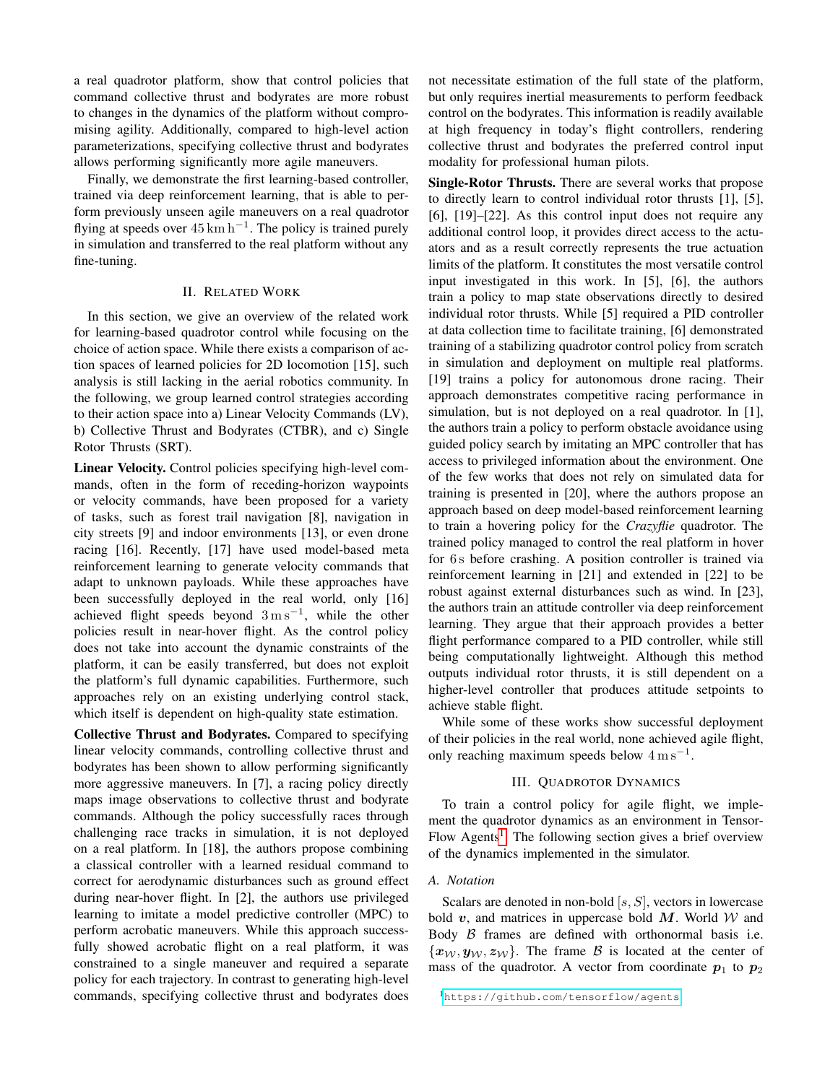a real quadrotor platform, show that control policies that command collective thrust and bodyrates are more robust to changes in the dynamics of the platform without compromising agility. Additionally, compared to high-level action parameterizations, specifying collective thrust and bodyrates allows performing significantly more agile maneuvers.

Finally, we demonstrate the first learning-based controller, trained via deep reinforcement learning, that is able to perform previously unseen agile maneuvers on a real quadrotor flying at speeds over  $45 \text{ km h}^{-1}$ . The policy is trained purely in simulation and transferred to the real platform without any fine-tuning.

### II. RELATED WORK

In this section, we give an overview of the related work for learning-based quadrotor control while focusing on the choice of action space. While there exists a comparison of action spaces of learned policies for 2D locomotion [15], such analysis is still lacking in the aerial robotics community. In the following, we group learned control strategies according to their action space into a) Linear Velocity Commands (LV), b) Collective Thrust and Bodyrates (CTBR), and c) Single Rotor Thrusts (SRT).

Linear Velocity. Control policies specifying high-level commands, often in the form of receding-horizon waypoints or velocity commands, have been proposed for a variety of tasks, such as forest trail navigation [8], navigation in city streets [9] and indoor environments [13], or even drone racing [16]. Recently, [17] have used model-based meta reinforcement learning to generate velocity commands that adapt to unknown payloads. While these approaches have been successfully deployed in the real world, only [16] achieved flight speeds beyond  $3 \text{ m s}^{-1}$ , while the other policies result in near-hover flight. As the control policy does not take into account the dynamic constraints of the platform, it can be easily transferred, but does not exploit the platform's full dynamic capabilities. Furthermore, such approaches rely on an existing underlying control stack, which itself is dependent on high-quality state estimation.

Collective Thrust and Bodyrates. Compared to specifying linear velocity commands, controlling collective thrust and bodyrates has been shown to allow performing significantly more aggressive maneuvers. In [7], a racing policy directly maps image observations to collective thrust and bodyrate commands. Although the policy successfully races through challenging race tracks in simulation, it is not deployed on a real platform. In [18], the authors propose combining a classical controller with a learned residual command to correct for aerodynamic disturbances such as ground effect during near-hover flight. In [2], the authors use privileged learning to imitate a model predictive controller (MPC) to perform acrobatic maneuvers. While this approach successfully showed acrobatic flight on a real platform, it was constrained to a single maneuver and required a separate policy for each trajectory. In contrast to generating high-level commands, specifying collective thrust and bodyrates does

not necessitate estimation of the full state of the platform, but only requires inertial measurements to perform feedback control on the bodyrates. This information is readily available at high frequency in today's flight controllers, rendering collective thrust and bodyrates the preferred control input modality for professional human pilots.

Single-Rotor Thrusts. There are several works that propose to directly learn to control individual rotor thrusts [1], [5], [6], [19]–[22]. As this control input does not require any additional control loop, it provides direct access to the actuators and as a result correctly represents the true actuation limits of the platform. It constitutes the most versatile control input investigated in this work. In [5], [6], the authors train a policy to map state observations directly to desired individual rotor thrusts. While [5] required a PID controller at data collection time to facilitate training, [6] demonstrated training of a stabilizing quadrotor control policy from scratch in simulation and deployment on multiple real platforms. [19] trains a policy for autonomous drone racing. Their approach demonstrates competitive racing performance in simulation, but is not deployed on a real quadrotor. In [1], the authors train a policy to perform obstacle avoidance using guided policy search by imitating an MPC controller that has access to privileged information about the environment. One of the few works that does not rely on simulated data for training is presented in [20], where the authors propose an approach based on deep model-based reinforcement learning to train a hovering policy for the *Crazyflie* quadrotor. The trained policy managed to control the real platform in hover for 6 s before crashing. A position controller is trained via reinforcement learning in [21] and extended in [22] to be robust against external disturbances such as wind. In [23], the authors train an attitude controller via deep reinforcement learning. They argue that their approach provides a better flight performance compared to a PID controller, while still being computationally lightweight. Although this method outputs individual rotor thrusts, it is still dependent on a higher-level controller that produces attitude setpoints to achieve stable flight.

While some of these works show successful deployment of their policies in the real world, none achieved agile flight, only reaching maximum speeds below  $4 \text{ m s}^{-1}$ .

# III. QUADROTOR DYNAMICS

To train a control policy for agile flight, we implement the quadrotor dynamics as an environment in Tensor-Flow Agents<sup>[1](#page-1-0)</sup>. The following section gives a brief overview of the dynamics implemented in the simulator.

## *A. Notation*

Scalars are denoted in non-bold  $[s, S]$ , vectors in lowercase bold  $v$ , and matrices in uppercase bold  $M$ . World  $W$  and Body  $\beta$  frames are defined with orthonormal basis i.e.  ${x_W, y_W, z_W}$ . The frame B is located at the center of mass of the quadrotor. A vector from coordinate  $p_1$  to  $p_2$ 

<span id="page-1-0"></span><sup>1</sup><https://github.com/tensorflow/agents>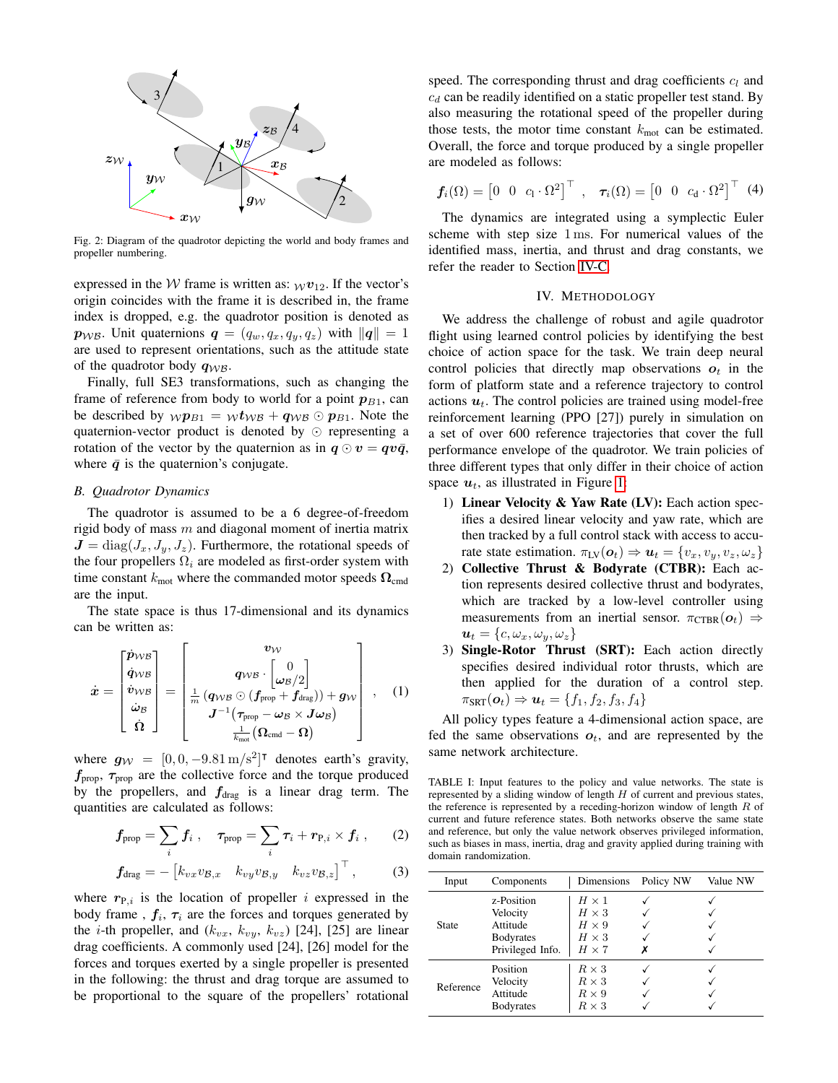

Fig. 2: Diagram of the quadrotor depicting the world and body frames and propeller numbering.

expressed in the W frame is written as:  $wv_{12}$ . If the vector's origin coincides with the frame it is described in, the frame index is dropped, e.g. the quadrotor position is denoted as  $p_{W\mathcal{B}}$ . Unit quaternions  $q = (q_w, q_x, q_y, q_z)$  with  $\|q\| = 1$ are used to represent orientations, such as the attitude state of the quadrotor body  $q_{W\beta}$ .

Finally, full SE3 transformations, such as changing the frame of reference from body to world for a point  $p_{B1}$ , can be described by  $wp_{B1} = w t_{WB} + q_{WB} \odot p_{B1}$ . Note the quaternion-vector product is denoted by  $\odot$  representing a rotation of the vector by the quaternion as in  $q \odot v = q v \bar{q}$ , where  $\bar{q}$  is the quaternion's conjugate.

## *B. Quadrotor Dynamics*

The quadrotor is assumed to be a 6 degree-of-freedom rigid body of mass  $m$  and diagonal moment of inertia matrix  $J = diag(J_x, J_y, J_z)$ . Furthermore, the rotational speeds of the four propellers  $\Omega_i$  are modeled as first-order system with time constant  $k_{\text{mot}}$  where the commanded motor speeds  $\Omega_{\text{cmd}}$ are the input.

The state space is thus 17-dimensional and its dynamics can be written as:

$$
\dot{x} = \begin{bmatrix} \dot{p}_{WB} \\ \dot{q}_{WB} \\ \dot{v}_{WB} \\ \dot{\omega}_{B} \\ \dot{\Omega} \end{bmatrix} = \begin{bmatrix} v_{VV} \\ q_{WB} \cdot \begin{bmatrix} 0 \\ \omega_{B}/2 \end{bmatrix} \\ \frac{1}{m} \left( q_{WB} \odot (f_{prop} + f_{drag}) \right) + g_{W} \\ J^{-1} (\tau_{prop} - \omega_{B} \times J \omega_{B}) \\ \frac{1}{k_{mot}} (\Omega_{cmd} - \Omega) \end{bmatrix}, \quad (1)
$$

where  $g_W = [0, 0, -9.81 \text{ m/s}^2]^\intercal$  denotes earth's gravity,  $f_{\text{prop}}$ ,  $\tau_{\text{prop}}$  are the collective force and the torque produced by the propellers, and  $f_{drag}$  is a linear drag term. The quantities are calculated as follows:

$$
\boldsymbol{f}_{\text{prop}} = \sum_i \boldsymbol{f}_i \;, \quad \boldsymbol{\tau}_{\text{prop}} = \sum_i \boldsymbol{\tau}_i + \boldsymbol{r}_{\text{P},i} \times \boldsymbol{f}_i \;, \qquad (2)
$$

$$
\boldsymbol{f}_{\text{drag}} = -\begin{bmatrix} k_{vx}v_{\mathcal{B},x} & k_{vy}v_{\mathcal{B},y} & k_{vz}v_{\mathcal{B},z} \end{bmatrix}^{\top}, \quad (3)
$$

where  $r_{P,i}$  is the location of propeller i expressed in the body frame,  $f_i$ ,  $\tau_i$  are the forces and torques generated by the *i*-th propeller, and  $(k_{vx}, k_{vy}, k_{vz})$  [24], [25] are linear drag coefficients. A commonly used [24], [26] model for the forces and torques exerted by a single propeller is presented in the following: the thrust and drag torque are assumed to be proportional to the square of the propellers' rotational speed. The corresponding thrust and drag coefficients  $c_l$  and  $c_d$  can be readily identified on a static propeller test stand. By also measuring the rotational speed of the propeller during those tests, the motor time constant  $k_{\text{mot}}$  can be estimated. Overall, the force and torque produced by a single propeller are modeled as follows:

$$
\boldsymbol{f}_i(\Omega) = \begin{bmatrix} 0 & 0 & c_1 \cdot \Omega^2 \end{bmatrix}^\top, \quad \boldsymbol{\tau}_i(\Omega) = \begin{bmatrix} 0 & 0 & c_d \cdot \Omega^2 \end{bmatrix}^\top \tag{4}
$$

The dynamics are integrated using a symplectic Euler scheme with step size 1 ms. For numerical values of the identified mass, inertia, and thrust and drag constants, we refer the reader to Section [IV-C.](#page-3-0)

#### IV. METHODOLOGY

<span id="page-2-1"></span>We address the challenge of robust and agile quadrotor flight using learned control policies by identifying the best choice of action space for the task. We train deep neural control policies that directly map observations  $o_t$  in the form of platform state and a reference trajectory to control actions  $u_t$ . The control policies are trained using model-free reinforcement learning (PPO [27]) purely in simulation on a set of over 600 reference trajectories that cover the full performance envelope of the quadrotor. We train policies of three different types that only differ in their choice of action space  $u_t$ , as illustrated in Figure [1:](#page-0-0)

- 1) Linear Velocity & Yaw Rate (LV): Each action specifies a desired linear velocity and yaw rate, which are then tracked by a full control stack with access to accurate state estimation.  $\pi_{\text{LV}}(\mathbf{o}_t) \Rightarrow \mathbf{u}_t = \{v_x, v_y, v_z, \omega_z\}$
- 2) Collective Thrust & Bodyrate (CTBR): Each action represents desired collective thrust and bodyrates, which are tracked by a low-level controller using measurements from an inertial sensor.  $\pi_{\text{CTBR}}(o_t) \Rightarrow$  $u_t = \{c, \omega_x, \omega_y, \omega_z\}$
- 3) Single-Rotor Thrust (SRT): Each action directly specifies desired individual rotor thrusts, which are then applied for the duration of a control step.  $\pi_{\text{SRT}}(\boldsymbol{o}_t) \Rightarrow \boldsymbol{u}_t = \{f_1, f_2, f_3, f_4\}$

All policy types feature a 4-dimensional action space, are fed the same observations  $o_t$ , and are represented by the same network architecture.

<span id="page-2-0"></span>TABLE I: Input features to the policy and value networks. The state is represented by a sliding window of length  $H$  of current and previous states, the reference is represented by a receding-horizon window of length  $R$  of current and future reference states. Both networks observe the same state and reference, but only the value network observes privileged information, such as biases in mass, inertia, drag and gravity applied during training with domain randomization.

| Input     | Components                                                                 | Dimensions                                                                   | Policy NW | Value NW |
|-----------|----------------------------------------------------------------------------|------------------------------------------------------------------------------|-----------|----------|
| State     | z-Position<br>Velocity<br>Attitude<br><b>Bodyrates</b><br>Privileged Info. | $H \times 1$<br>$H \times 3$<br>$H \times 9$<br>$H \times 3$<br>$H \times 7$ |           |          |
| Reference | Position<br>Velocity<br>Attitude<br><b>Bodyrates</b>                       | $R \times 3$<br>$R \times 3$<br>$R \times 9$<br>$R \times 3$                 |           |          |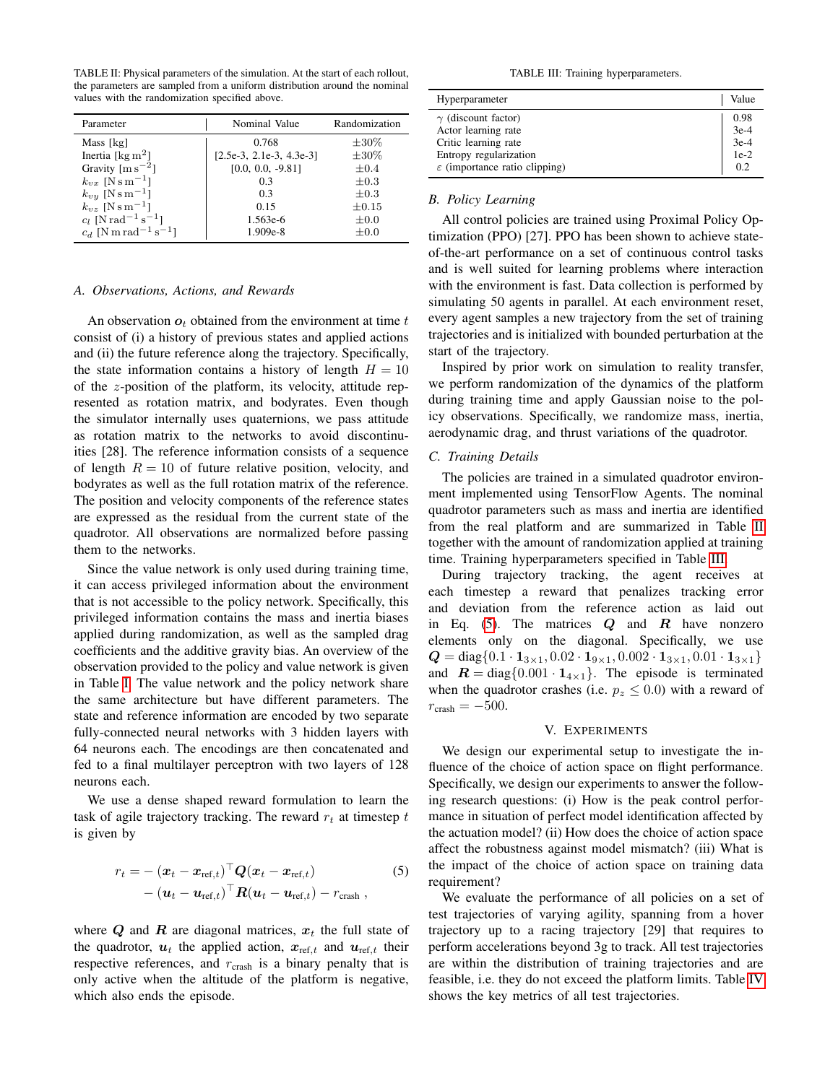<span id="page-3-1"></span>TABLE II: Physical parameters of the simulation. At the start of each rollout, the parameters are sampled from a uniform distribution around the nominal values with the randomization specified above.

| Parameter                                      | Nominal Value              | Randomization |  |
|------------------------------------------------|----------------------------|---------------|--|
| Mass [kg]                                      | 0.768                      | $\pm 30\%$    |  |
| Inertia [ $\text{kg m}^2$ ]                    | $[2.5e-3, 2.1e-3, 4.3e-3]$ | $\pm 30\%$    |  |
| Gravity $\lceil m s^{-2} \rceil$               | $[0.0, 0.0, -9.81]$        | $\pm 0.4$     |  |
| $k_{vx}$ [N s m <sup>-1</sup> ]                | 0.3                        | $\pm 0.3$     |  |
| $k_{vy}$ [N s m <sup>-1</sup> ]                | 0.3                        | $\pm 0.3$     |  |
| $k_{vz}$ [N s m <sup>-1</sup> ]                | 0.15                       | $\pm 0.15$    |  |
| $c_l$ [N rad <sup>-1</sup> s <sup>-1</sup> ]   | 1.563e-6                   | $\pm 0.0$     |  |
| $c_d$ [N m rad <sup>-1</sup> s <sup>-1</sup> ] | $1.909e-8$                 | $\pm 0.0$     |  |

#### *A. Observations, Actions, and Rewards*

An observation  $o_t$  obtained from the environment at time t consist of (i) a history of previous states and applied actions and (ii) the future reference along the trajectory. Specifically, the state information contains a history of length  $H = 10$ of the z-position of the platform, its velocity, attitude represented as rotation matrix, and bodyrates. Even though the simulator internally uses quaternions, we pass attitude as rotation matrix to the networks to avoid discontinuities [28]. The reference information consists of a sequence of length  $R = 10$  of future relative position, velocity, and bodyrates as well as the full rotation matrix of the reference. The position and velocity components of the reference states are expressed as the residual from the current state of the quadrotor. All observations are normalized before passing them to the networks.

Since the value network is only used during training time, it can access privileged information about the environment that is not accessible to the policy network. Specifically, this privileged information contains the mass and inertia biases applied during randomization, as well as the sampled drag coefficients and the additive gravity bias. An overview of the observation provided to the policy and value network is given in Table [I.](#page-2-0) The value network and the policy network share the same architecture but have different parameters. The state and reference information are encoded by two separate fully-connected neural networks with 3 hidden layers with 64 neurons each. The encodings are then concatenated and fed to a final multilayer perceptron with two layers of 128 neurons each.

We use a dense shaped reward formulation to learn the task of agile trajectory tracking. The reward  $r_t$  at timestep t is given by

$$
r_t = -(\boldsymbol{x}_t - \boldsymbol{x}_{\text{ref},t})^\top \boldsymbol{Q} (\boldsymbol{x}_t - \boldsymbol{x}_{\text{ref},t})
$$
  
- (\boldsymbol{u}\_t - \boldsymbol{u}\_{\text{ref},t})^\top \boldsymbol{R} (\boldsymbol{u}\_t - \boldsymbol{u}\_{\text{ref},t}) - r\_{\text{crash}}, \qquad (5)

where  $Q$  and  $R$  are diagonal matrices,  $x_t$  the full state of the quadrotor,  $u_t$  the applied action,  $x_{ref,t}$  and  $u_{ref,t}$  their respective references, and  $r_{\text{crash}}$  is a binary penalty that is only active when the altitude of the platform is negative, which also ends the episode.

TABLE III: Training hyperparameters.

<span id="page-3-2"></span>

| Hyperparameter                            | Value                      |
|-------------------------------------------|----------------------------|
| $\gamma$ (discount factor)                | 0.98                       |
| Actor learning rate                       |                            |
| Critic learning rate                      | $3e-4$<br>$3e-4$<br>$1e-2$ |
| Entropy regularization                    |                            |
| $\varepsilon$ (importance ratio clipping) | 0.2                        |

## <span id="page-3-4"></span>*B. Policy Learning*

All control policies are trained using Proximal Policy Optimization (PPO) [27]. PPO has been shown to achieve stateof-the-art performance on a set of continuous control tasks and is well suited for learning problems where interaction with the environment is fast. Data collection is performed by simulating 50 agents in parallel. At each environment reset, every agent samples a new trajectory from the set of training trajectories and is initialized with bounded perturbation at the start of the trajectory.

Inspired by prior work on simulation to reality transfer, we perform randomization of the dynamics of the platform during training time and apply Gaussian noise to the policy observations. Specifically, we randomize mass, inertia, aerodynamic drag, and thrust variations of the quadrotor.

# <span id="page-3-0"></span>*C. Training Details*

The policies are trained in a simulated quadrotor environment implemented using TensorFlow Agents. The nominal quadrotor parameters such as mass and inertia are identified from the real platform and are summarized in Table [II](#page-3-1) together with the amount of randomization applied at training time. Training hyperparameters specified in Table [III.](#page-3-2)

During trajectory tracking, the agent receives at each timestep a reward that penalizes tracking error and deviation from the reference action as laid out in Eq. [\(5\)](#page-3-3). The matrices  $Q$  and  $R$  have nonzero elements only on the diagonal. Specifically, we use  $Q = \text{diag}\{0.1 \cdot \mathbf{1}_{3\times 1}, 0.02 \cdot \mathbf{1}_{9\times 1}, 0.002 \cdot \mathbf{1}_{3\times 1}, 0.01 \cdot \mathbf{1}_{3\times 1}\}$ and  $\mathbf{R} = \text{diag}\{0.001 \cdot \mathbf{1}_{4 \times 1}\}\$ . The episode is terminated when the quadrotor crashes (i.e.  $p_z \leq 0.0$ ) with a reward of  $r_{\text{crash}} = -500.$ 

#### V. EXPERIMENTS

We design our experimental setup to investigate the influence of the choice of action space on flight performance. Specifically, we design our experiments to answer the following research questions: (i) How is the peak control performance in situation of perfect model identification affected by the actuation model? (ii) How does the choice of action space affect the robustness against model mismatch? (iii) What is the impact of the choice of action space on training data requirement?

<span id="page-3-3"></span>We evaluate the performance of all policies on a set of test trajectories of varying agility, spanning from a hover trajectory up to a racing trajectory [29] that requires to perform accelerations beyond 3g to track. All test trajectories are within the distribution of training trajectories and are feasible, i.e. they do not exceed the platform limits. Table [IV](#page-4-0) shows the key metrics of all test trajectories.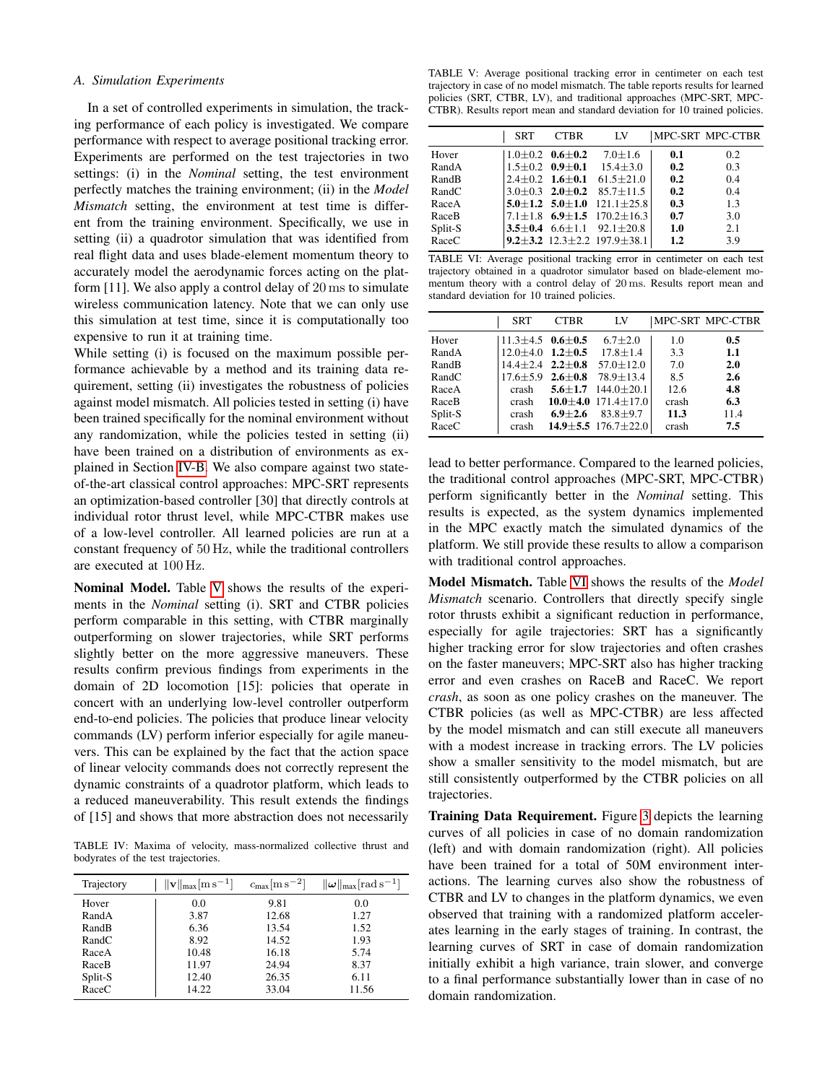## *A. Simulation Experiments*

In a set of controlled experiments in simulation, the tracking performance of each policy is investigated. We compare performance with respect to average positional tracking error. Experiments are performed on the test trajectories in two settings: (i) in the *Nominal* setting, the test environment perfectly matches the training environment; (ii) in the *Model Mismatch* setting, the environment at test time is different from the training environment. Specifically, we use in setting (ii) a quadrotor simulation that was identified from real flight data and uses blade-element momentum theory to accurately model the aerodynamic forces acting on the platform [11]. We also apply a control delay of 20 ms to simulate wireless communication latency. Note that we can only use this simulation at test time, since it is computationally too expensive to run it at training time.

While setting (i) is focused on the maximum possible performance achievable by a method and its training data requirement, setting (ii) investigates the robustness of policies against model mismatch. All policies tested in setting (i) have been trained specifically for the nominal environment without any randomization, while the policies tested in setting (ii) have been trained on a distribution of environments as explained in Section [IV-B.](#page-3-4) We also compare against two stateof-the-art classical control approaches: MPC-SRT represents an optimization-based controller [30] that directly controls at individual rotor thrust level, while MPC-CTBR makes use of a low-level controller. All learned policies are run at a constant frequency of 50 Hz, while the traditional controllers are executed at 100 Hz.

Nominal Model. Table [V](#page-4-1) shows the results of the experiments in the *Nominal* setting (i). SRT and CTBR policies perform comparable in this setting, with CTBR marginally outperforming on slower trajectories, while SRT performs slightly better on the more aggressive maneuvers. These results confirm previous findings from experiments in the domain of 2D locomotion [15]: policies that operate in concert with an underlying low-level controller outperform end-to-end policies. The policies that produce linear velocity commands (LV) perform inferior especially for agile maneuvers. This can be explained by the fact that the action space of linear velocity commands does not correctly represent the dynamic constraints of a quadrotor platform, which leads to a reduced maneuverability. This result extends the findings of [15] and shows that more abstraction does not necessarily

<span id="page-4-0"></span>TABLE IV: Maxima of velocity, mass-normalized collective thrust and bodyrates of the test trajectories.

| Trajectory | $\ \mathbf{v}\ _{\max}$ [m s <sup>-1</sup> ] | $c_{\rm max}$ [m s <sup>-2</sup> ] | $\ \boldsymbol{\omega}\ _{\text{max}}$ [rad s <sup>-1</sup> ] |
|------------|----------------------------------------------|------------------------------------|---------------------------------------------------------------|
| Hover      | 0.0                                          | 9.81                               | 0.0                                                           |
| RandA      | 3.87                                         | 12.68                              | 1.27                                                          |
| RandB      | 6.36                                         | 13.54                              | 1.52                                                          |
| RandC      | 8.92                                         | 14.52                              | 1.93                                                          |
| RaceA      | 10.48                                        | 16.18                              | 5.74                                                          |
| RaceB      | 11.97                                        | 24.94                              | 8.37                                                          |
| Split-S    | 12.40                                        | 26.35                              | 6.11                                                          |
| RaceC      | 14.22                                        | 33.04                              | 11.56                                                         |

<span id="page-4-1"></span>TABLE V: Average positional tracking error in centimeter on each test trajectory in case of no model mismatch. The table reports results for learned policies (SRT, CTBR, LV), and traditional approaches (MPC-SRT, MPC-CTBR). Results report mean and standard deviation for 10 trained policies.

|         | <b>SRT</b> | <b>CTBR</b>                 | LV                                            |     | MPC-SRT MPC-CTBR |
|---------|------------|-----------------------------|-----------------------------------------------|-----|------------------|
| Hover   |            | $1.0 \pm 0.2$ 0.6 $\pm$ 0.2 | $7.0 \pm 1.6$                                 | 0.1 | 0.2              |
| RandA   |            | $1.5 \pm 0.2$ 0.9 $\pm$ 0.1 | $15.4 \pm 3.0$                                | 0.2 | 0.3              |
| RandB   |            |                             | $2.4 \pm 0.2$ 1.6 $\pm$ 0.1 61.5 $\pm$ 21.0   | 0.2 | 0.4              |
| RandC   |            |                             | $3.0\pm0.3$ $2.0\pm0.2$ $85.7\pm11.5$         | 0.2 | 0.4              |
| RaceA   |            |                             | $5.0 + 1.2$ $5.0 + 1.0$ $121.1 + 25.8$        | 0.3 | 1.3              |
| RaceB   |            |                             | $7.1 \pm 1.8$ 6.9 $\pm 1.5$ 170.2 $\pm 16.3$  | 0.7 | 3.0              |
| Split-S |            |                             | 3.5 $\pm$ 0.4 6.6 $\pm$ 1.1 92.1 $\pm$ 20.8   | 1.0 | 2.1              |
| RaceC   |            |                             | 9.2 $\pm$ 3.2 12.3 $\pm$ 2.2 197.9 $\pm$ 38.1 | 1.2 | 3.9              |

<span id="page-4-2"></span>TABLE VI: Average positional tracking error in centimeter on each test trajectory obtained in a quadrotor simulator based on blade-element momentum theory with a control delay of 20 ms. Results report mean and standard deviation for 10 trained policies.

|         | <b>SRT</b>                   | <b>CTBR</b>   | LV                                           |       | MPC-SRT MPC-CTBR |
|---------|------------------------------|---------------|----------------------------------------------|-------|------------------|
| Hover   | $11.3 \pm 4.5$ 0.6 $\pm$ 0.5 |               | $6.7 \pm 2.0$                                | 1.0   | 0.5              |
| RandA   | $12.0 \pm 4.0$ $1.2 \pm 0.5$ |               | $17.8 \pm 1.4$                               | 3.3   | 1.1              |
| RandB   |                              |               | $14.4 \pm 2.4$ $2.2 \pm 0.8$ $57.0 \pm 12.0$ | 7.0   | 2.0              |
| RandC   |                              |               | $17.6 + 5.9$ 2.6 + 0.8 78.9 + 13.4           | 8.5   | 2.6              |
| RaceA   | crash                        |               | 5.6 $\pm$ 1.7 144.0 $\pm$ 20.1               | 12.6  | 4.8              |
| RaceB   | crash                        |               | 10.0 $\pm$ 4.0 171.4 $\pm$ 17.0              | crash | 6.3              |
| Split-S | crash                        | $6.9 \pm 2.6$ | $83.8 + 9.7$                                 | 11.3  | 11.4             |
| RaceC   | crash                        |               | $14.9 \pm 5.5$ 176.7 $\pm$ 22.0              | crash | 7.5              |

lead to better performance. Compared to the learned policies, the traditional control approaches (MPC-SRT, MPC-CTBR) perform significantly better in the *Nominal* setting. This results is expected, as the system dynamics implemented in the MPC exactly match the simulated dynamics of the platform. We still provide these results to allow a comparison with traditional control approaches.

Model Mismatch. Table [VI](#page-4-2) shows the results of the *Model Mismatch* scenario. Controllers that directly specify single rotor thrusts exhibit a significant reduction in performance, especially for agile trajectories: SRT has a significantly higher tracking error for slow trajectories and often crashes on the faster maneuvers; MPC-SRT also has higher tracking error and even crashes on RaceB and RaceC. We report *crash*, as soon as one policy crashes on the maneuver. The CTBR policies (as well as MPC-CTBR) are less affected by the model mismatch and can still execute all maneuvers with a modest increase in tracking errors. The LV policies show a smaller sensitivity to the model mismatch, but are still consistently outperformed by the CTBR policies on all trajectories.

Training Data Requirement. Figure [3](#page-5-0) depicts the learning curves of all policies in case of no domain randomization (left) and with domain randomization (right). All policies have been trained for a total of 50M environment interactions. The learning curves also show the robustness of CTBR and LV to changes in the platform dynamics, we even observed that training with a randomized platform accelerates learning in the early stages of training. In contrast, the learning curves of SRT in case of domain randomization initially exhibit a high variance, train slower, and converge to a final performance substantially lower than in case of no domain randomization.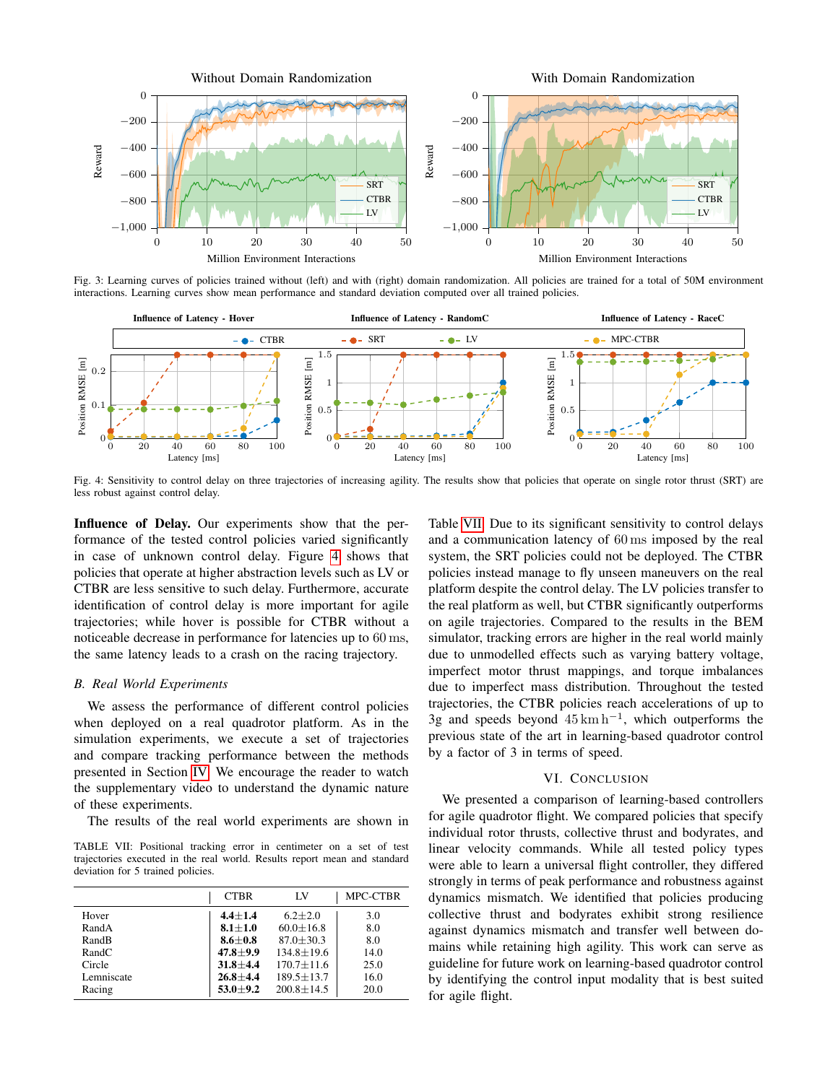<span id="page-5-0"></span>

Fig. 3: Learning curves of policies trained without (left) and with (right) domain randomization. All policies are trained for a total of 50M environment interactions. Learning curves show mean performance and standard deviation computed over all trained policies.

<span id="page-5-1"></span>

Fig. 4: Sensitivity to control delay on three trajectories of increasing agility. The results show that policies that operate on single rotor thrust (SRT) are less robust against control delay.

Influence of Delay. Our experiments show that the performance of the tested control policies varied significantly in case of unknown control delay. Figure [4](#page-5-1) shows that policies that operate at higher abstraction levels such as LV or CTBR are less sensitive to such delay. Furthermore, accurate identification of control delay is more important for agile trajectories; while hover is possible for CTBR without a noticeable decrease in performance for latencies up to 60 ms, the same latency leads to a crash on the racing trajectory.

# *B. Real World Experiments*

We assess the performance of different control policies when deployed on a real quadrotor platform. As in the simulation experiments, we execute a set of trajectories and compare tracking performance between the methods presented in Section [IV.](#page-2-1) We encourage the reader to watch the supplementary video to understand the dynamic nature of these experiments.

The results of the real world experiments are shown in

<span id="page-5-2"></span>TABLE VII: Positional tracking error in centimeter on a set of test trajectories executed in the real world. Results report mean and standard deviation for 5 trained policies.

|            | <b>CTBR</b>  | LV               | MPC-CTBR |
|------------|--------------|------------------|----------|
| Hover      | $4.4 + 1.4$  | $6.2 + 2.0$      | 3.0      |
| RandA      | $8.1 + 1.0$  | $60.0 + 16.8$    | 8.0      |
| RandB      | $8.6 + 0.8$  | $87.0 + 30.3$    | 8.0      |
| RandC      | $47.8 + 9.9$ | $134.8 \pm 19.6$ | 14.0     |
| Circle     | $31.8 + 4.4$ | $170.7 + 11.6$   | 25.0     |
| Lemniscate | $26.8 + 4.4$ | $189.5 + 13.7$   | 16.0     |
| Racing     | $53.0 + 9.2$ | $200.8 \pm 14.5$ | 20.0     |

Table [VII.](#page-5-2) Due to its significant sensitivity to control delays and a communication latency of 60 ms imposed by the real system, the SRT policies could not be deployed. The CTBR policies instead manage to fly unseen maneuvers on the real platform despite the control delay. The LV policies transfer to the real platform as well, but CTBR significantly outperforms on agile trajectories. Compared to the results in the BEM simulator, tracking errors are higher in the real world mainly due to unmodelled effects such as varying battery voltage, imperfect motor thrust mappings, and torque imbalances due to imperfect mass distribution. Throughout the tested trajectories, the CTBR policies reach accelerations of up to 3g and speeds beyond  $45 \text{ km h}^{-1}$ , which outperforms the previous state of the art in learning-based quadrotor control by a factor of 3 in terms of speed.

#### VI. CONCLUSION

We presented a comparison of learning-based controllers for agile quadrotor flight. We compared policies that specify individual rotor thrusts, collective thrust and bodyrates, and linear velocity commands. While all tested policy types were able to learn a universal flight controller, they differed strongly in terms of peak performance and robustness against dynamics mismatch. We identified that policies producing collective thrust and bodyrates exhibit strong resilience against dynamics mismatch and transfer well between domains while retaining high agility. This work can serve as guideline for future work on learning-based quadrotor control by identifying the control input modality that is best suited for agile flight.